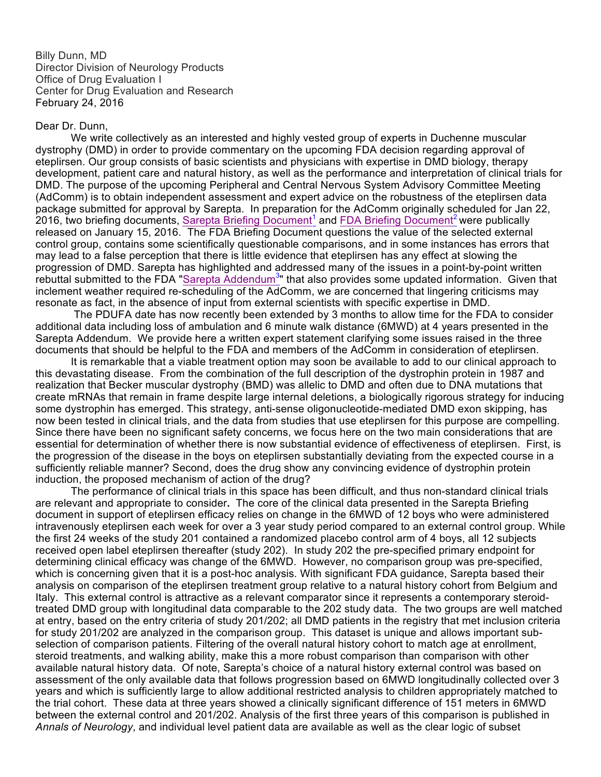Billy Dunn, MD Director Division of Neurology Products Office of Drug Evaluation I Center for Drug Evaluation and Research February 24, 2016

## Dear Dr. Dunn,

We write collectively as an interested and highly vested group of experts in Duchenne muscular dystrophy (DMD) in order to provide commentary on the upcoming FDA decision regarding approval of eteplirsen. Our group consists of basic scientists and physicians with expertise in DMD biology, therapy development, patient care and natural history, as well as the performance and interpretation of clinical trials for DMD. The purpose of the upcoming Peripheral and Central Nervous System Advisory Committee Meeting (AdComm) is to obtain independent assessment and expert advice on the robustness of the eteplirsen data package submitted for approval by Sarepta. In preparation for the AdComm originally scheduled for Jan 22, 2016, two briefing documents, Sarepta Briefing Document<sup>1</sup> and FDA Briefing Document<sup>2</sup> were publically released on January 15, 2016. The FDA Briefing Document questions the value of the selected external control group, contains some scientifically questionable comparisons, and in some instances has errors that may lead to a false perception that there is little evidence that eteplirsen has any effect at slowing the progression of DMD. Sarepta has highlighted and addressed many of the issues in a point-by-point written rebuttal submitted to the FDA "Sarepta Addendum<sup>3</sup>" that also provides some updated information. Given that inclement weather required re-scheduling of the AdComm, we are concerned that lingering criticisms may resonate as fact, in the absence of input from external scientists with specific expertise in DMD.

The PDUFA date has now recently been extended by 3 months to allow time for the FDA to consider additional data including loss of ambulation and 6 minute walk distance (6MWD) at 4 years presented in the Sarepta Addendum. We provide here a written expert statement clarifying some issues raised in the three documents that should be helpful to the FDA and members of the AdComm in consideration of eteplirsen.

It is remarkable that a viable treatment option may soon be available to add to our clinical approach to this devastating disease. From the combination of the full description of the dystrophin protein in 1987 and realization that Becker muscular dystrophy (BMD) was allelic to DMD and often due to DNA mutations that create mRNAs that remain in frame despite large internal deletions, a biologically rigorous strategy for inducing some dystrophin has emerged. This strategy, anti-sense oligonucleotide-mediated DMD exon skipping, has now been tested in clinical trials, and the data from studies that use eteplirsen for this purpose are compelling. Since there have been no significant safety concerns, we focus here on the two main considerations that are essential for determination of whether there is now substantial evidence of effectiveness of eteplirsen. First, is the progression of the disease in the boys on eteplirsen substantially deviating from the expected course in a sufficiently reliable manner? Second, does the drug show any convincing evidence of dystrophin protein induction, the proposed mechanism of action of the drug?

The performance of clinical trials in this space has been difficult, and thus non-standard clinical trials are relevant and appropriate to consider**.** The core of the clinical data presented in the Sarepta Briefing document in support of eteplirsen efficacy relies on change in the 6MWD of 12 boys who were administered intravenously eteplirsen each week for over a 3 year study period compared to an external control group. While the first 24 weeks of the study 201 contained a randomized placebo control arm of 4 boys, all 12 subjects received open label eteplirsen thereafter (study 202). In study 202 the pre-specified primary endpoint for determining clinical efficacy was change of the 6MWD. However, no comparison group was pre-specified, which is concerning given that it is a post-hoc analysis. With significant FDA guidance, Sarepta based their analysis on comparison of the eteplirsen treatment group relative to a natural history cohort from Belgium and Italy. This external control is attractive as a relevant comparator since it represents a contemporary steroidtreated DMD group with longitudinal data comparable to the 202 study data. The two groups are well matched at entry, based on the entry criteria of study 201/202; all DMD patients in the registry that met inclusion criteria for study 201/202 are analyzed in the comparison group. This dataset is unique and allows important subselection of comparison patients. Filtering of the overall natural history cohort to match age at enrollment, steroid treatments, and walking ability, make this a more robust comparison than comparison with other available natural history data. Of note, Sarepta's choice of a natural history external control was based on assessment of the only available data that follows progression based on 6MWD longitudinally collected over 3 years and which is sufficiently large to allow additional restricted analysis to children appropriately matched to the trial cohort. These data at three years showed a clinically significant difference of 151 meters in 6MWD between the external control and 201/202. Analysis of the first three years of this comparison is published in *Annals of Neurology*, and individual level patient data are available as well as the clear logic of subset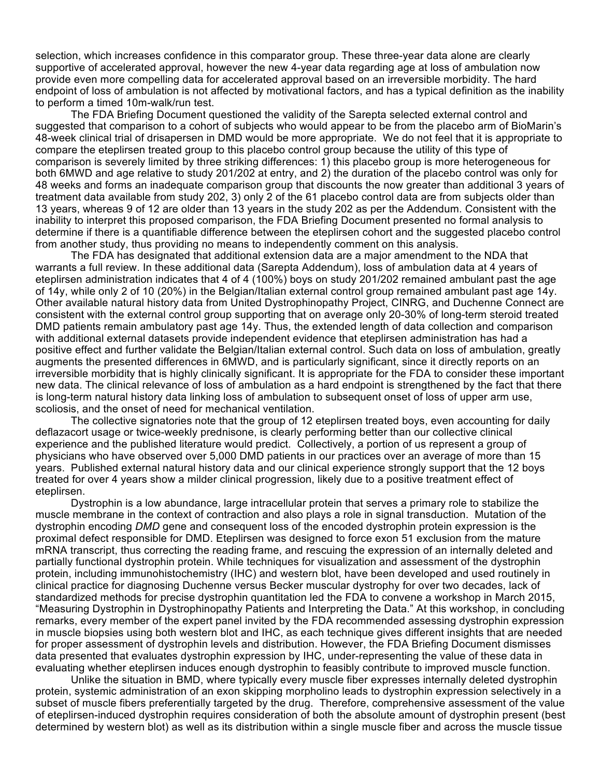selection, which increases confidence in this comparator group. These three-year data alone are clearly supportive of accelerated approval, however the new 4-year data regarding age at loss of ambulation now provide even more compelling data for accelerated approval based on an irreversible morbidity. The hard endpoint of loss of ambulation is not affected by motivational factors, and has a typical definition as the inability to perform a timed 10m-walk/run test.

The FDA Briefing Document questioned the validity of the Sarepta selected external control and suggested that comparison to a cohort of subjects who would appear to be from the placebo arm of BioMarin's 48-week clinical trial of drisapersen in DMD would be more appropriate.We do not feel that it is appropriate to compare the eteplirsen treated group to this placebo control group because the utility of this type of comparison is severely limited by three striking differences: 1) this placebo group is more heterogeneous for both 6MWD and age relative to study 201/202 at entry, and 2) the duration of the placebo control was only for 48 weeks and forms an inadequate comparison group that discounts the now greater than additional 3 years of treatment data available from study 202, 3) only 2 of the 61 placebo control data are from subjects older than 13 years, whereas 9 of 12 are older than 13 years in the study 202 as per the Addendum. Consistent with the inability to interpret this proposed comparison, the FDA Briefing Document presented no formal analysis to determine if there is a quantifiable difference between the eteplirsen cohort and the suggested placebo control from another study, thus providing no means to independently comment on this analysis.

The FDA has designated that additional extension data are a major amendment to the NDA that warrants a full review. In these additional data (Sarepta Addendum), loss of ambulation data at 4 years of eteplirsen administration indicates that 4 of 4 (100%) boys on study 201/202 remained ambulant past the age of 14y, while only 2 of 10 (20%) in the Belgian/Italian external control group remained ambulant past age 14y. Other available natural history data from United Dystrophinopathy Project, CINRG, and Duchenne Connect are consistent with the external control group supporting that on average only 20-30% of long-term steroid treated DMD patients remain ambulatory past age 14y. Thus, the extended length of data collection and comparison with additional external datasets provide independent evidence that eteplirsen administration has had a positive effect and further validate the Belgian/Italian external control. Such data on loss of ambulation, greatly augments the presented differences in 6MWD, and is particularly significant, since it directly reports on an irreversible morbidity that is highly clinically significant. It is appropriate for the FDA to consider these important new data. The clinical relevance of loss of ambulation as a hard endpoint is strengthened by the fact that there is long-term natural history data linking loss of ambulation to subsequent onset of loss of upper arm use, scoliosis, and the onset of need for mechanical ventilation.

The collective signatories note that the group of 12 eteplirsen treated boys, even accounting for daily deflazacort usage or twice-weekly prednisone, is clearly performing better than our collective clinical experience and the published literature would predict. Collectively, a portion of us represent a group of physicians who have observed over 5,000 DMD patients in our practices over an average of more than 15 years. Published external natural history data and our clinical experience strongly support that the 12 boys treated for over 4 years show a milder clinical progression, likely due to a positive treatment effect of eteplirsen.

Dystrophin is a low abundance, large intracellular protein that serves a primary role to stabilize the muscle membrane in the context of contraction and also plays a role in signal transduction. Mutation of the dystrophin encoding *DMD* gene and consequent loss of the encoded dystrophin protein expression is the proximal defect responsible for DMD. Eteplirsen was designed to force exon 51 exclusion from the mature mRNA transcript, thus correcting the reading frame, and rescuing the expression of an internally deleted and partially functional dystrophin protein. While techniques for visualization and assessment of the dystrophin protein, including immunohistochemistry (IHC) and western blot, have been developed and used routinely in clinical practice for diagnosing Duchenne versus Becker muscular dystrophy for over two decades, lack of standardized methods for precise dystrophin quantitation led the FDA to convene a workshop in March 2015, "Measuring Dystrophin in Dystrophinopathy Patients and Interpreting the Data." At this workshop, in concluding remarks, every member of the expert panel invited by the FDA recommended assessing dystrophin expression in muscle biopsies using both western blot and IHC, as each technique gives different insights that are needed for proper assessment of dystrophin levels and distribution. However, the FDA Briefing Document dismisses data presented that evaluates dystrophin expression by IHC, under-representing the value of these data in evaluating whether eteplirsen induces enough dystrophin to feasibly contribute to improved muscle function.

Unlike the situation in BMD, where typically every muscle fiber expresses internally deleted dystrophin protein, systemic administration of an exon skipping morpholino leads to dystrophin expression selectively in a subset of muscle fibers preferentially targeted by the drug. Therefore, comprehensive assessment of the value of eteplirsen-induced dystrophin requires consideration of both the absolute amount of dystrophin present (best determined by western blot) as well as its distribution within a single muscle fiber and across the muscle tissue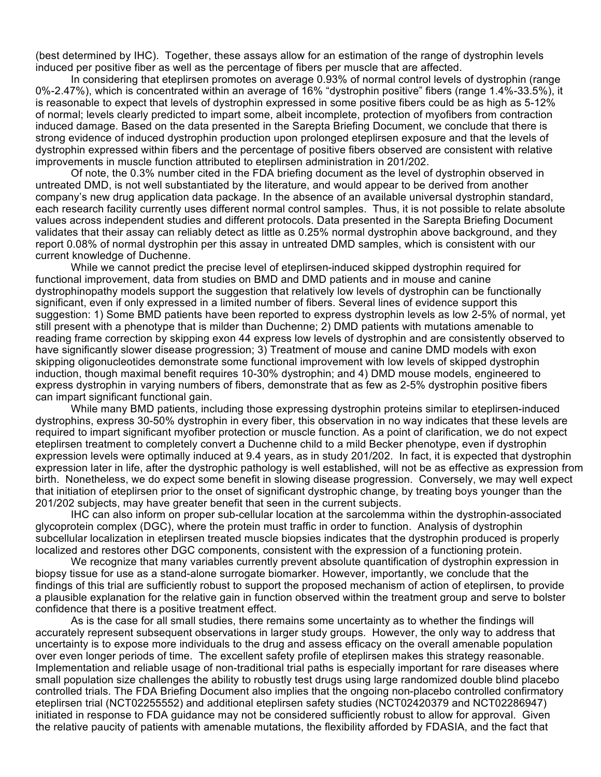(best determined by IHC). Together, these assays allow for an estimation of the range of dystrophin levels induced per positive fiber as well as the percentage of fibers per muscle that are affected.

In considering that eteplirsen promotes on average 0.93% of normal control levels of dystrophin (range 0%-2.47%), which is concentrated within an average of 16% "dystrophin positive" fibers (range 1.4%-33.5%), it is reasonable to expect that levels of dystrophin expressed in some positive fibers could be as high as 5-12% of normal; levels clearly predicted to impart some, albeit incomplete, protection of myofibers from contraction induced damage. Based on the data presented in the Sarepta Briefing Document, we conclude that there is strong evidence of induced dystrophin production upon prolonged eteplirsen exposure and that the levels of dystrophin expressed within fibers and the percentage of positive fibers observed are consistent with relative improvements in muscle function attributed to eteplirsen administration in 201/202.

Of note, the 0.3% number cited in the FDA briefing document as the level of dystrophin observed in untreated DMD, is not well substantiated by the literature, and would appear to be derived from another company's new drug application data package. In the absence of an available universal dystrophin standard, each research facility currently uses different normal control samples. Thus, it is not possible to relate absolute values across independent studies and different protocols. Data presented in the Sarepta Briefing Document validates that their assay can reliably detect as little as 0.25% normal dystrophin above background, and they report 0.08% of normal dystrophin per this assay in untreated DMD samples, which is consistent with our current knowledge of Duchenne.

While we cannot predict the precise level of eteplirsen-induced skipped dystrophin required for functional improvement, data from studies on BMD and DMD patients and in mouse and canine dystrophinopathy models support the suggestion that relatively low levels of dystrophin can be functionally significant, even if only expressed in a limited number of fibers. Several lines of evidence support this suggestion: 1) Some BMD patients have been reported to express dystrophin levels as low 2-5% of normal, yet still present with a phenotype that is milder than Duchenne; 2) DMD patients with mutations amenable to reading frame correction by skipping exon 44 express low levels of dystrophin and are consistently observed to have significantly slower disease progression; 3) Treatment of mouse and canine DMD models with exon skipping oligonucleotides demonstrate some functional improvement with low levels of skipped dystrophin induction, though maximal benefit requires 10-30% dystrophin; and 4) DMD mouse models, engineered to express dystrophin in varying numbers of fibers, demonstrate that as few as 2-5% dystrophin positive fibers can impart significant functional gain.

While many BMD patients, including those expressing dystrophin proteins similar to eteplirsen-induced dystrophins, express 30-50% dystrophin in every fiber, this observation in no way indicates that these levels are required to impart significant myofiber protection or muscle function. As a point of clarification, we do not expect eteplirsen treatment to completely convert a Duchenne child to a mild Becker phenotype, even if dystrophin expression levels were optimally induced at 9.4 years, as in study 201/202. In fact, it is expected that dystrophin expression later in life, after the dystrophic pathology is well established, will not be as effective as expression from birth. Nonetheless, we do expect some benefit in slowing disease progression. Conversely, we may well expect that initiation of eteplirsen prior to the onset of significant dystrophic change, by treating boys younger than the 201/202 subjects, may have greater benefit that seen in the current subjects.

IHC can also inform on proper sub-cellular location at the sarcolemma within the dystrophin-associated glycoprotein complex (DGC), where the protein must traffic in order to function. Analysis of dystrophin subcellular localization in eteplirsen treated muscle biopsies indicates that the dystrophin produced is properly localized and restores other DGC components, consistent with the expression of a functioning protein.

We recognize that many variables currently prevent absolute quantification of dystrophin expression in biopsy tissue for use as a stand-alone surrogate biomarker. However, importantly, we conclude that the findings of this trial are sufficiently robust to support the proposed mechanism of action of eteplirsen, to provide a plausible explanation for the relative gain in function observed within the treatment group and serve to bolster confidence that there is a positive treatment effect.

As is the case for all small studies, there remains some uncertainty as to whether the findings will accurately represent subsequent observations in larger study groups. However, the only way to address that uncertainty is to expose more individuals to the drug and assess efficacy on the overall amenable population over even longer periods of time. The excellent safety profile of eteplirsen makes this strategy reasonable. Implementation and reliable usage of non-traditional trial paths is especially important for rare diseases where small population size challenges the ability to robustly test drugs using large randomized double blind placebo controlled trials. The FDA Briefing Document also implies that the ongoing non-placebo controlled confirmatory eteplirsen trial (NCT02255552) and additional eteplirsen safety studies (NCT02420379 and NCT02286947) initiated in response to FDA guidance may not be considered sufficiently robust to allow for approval. Given the relative paucity of patients with amenable mutations, the flexibility afforded by FDASIA, and the fact that